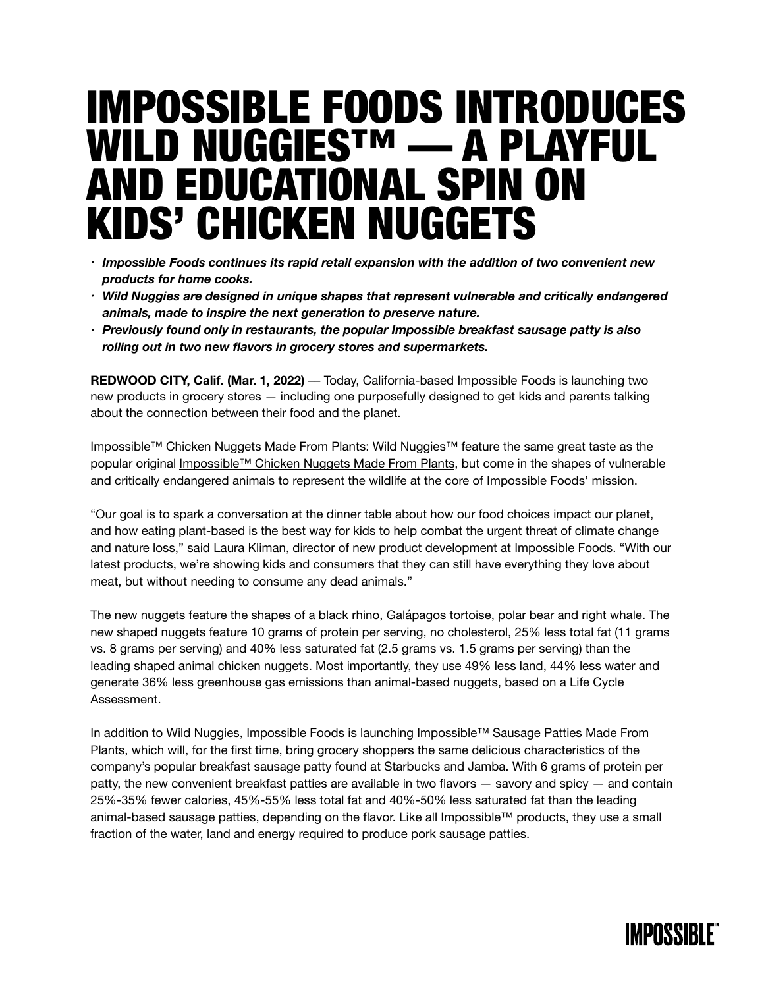## IMPOSSIBLE FOODS INTRODUCES WILD NUGGIES™ — A PLAYFUL AND EDUCATIONAL SPIN ON KIDS' CHICKEN NUGGETS

- *• Impossible Foods continues its rapid retail expansion with the addition of two convenient new products for home cooks.*
- *• Wild Nuggies are designed in unique shapes that represent vulnerable and critically endangered animals, made to inspire the next generation to preserve nature.*
- *• Previously found only in restaurants, the popular Impossible breakfast sausage patty is also rolling out in two new flavors in grocery stores and supermarkets.*

**REDWOOD CITY, Calif. (Mar. 1, 2022) — Today, California-based Impossible Foods is launching two** new products in grocery stores — including one purposefully designed to get kids and parents talking about the connection between their food and the planet.

Impossible™ Chicken Nuggets Made From Plants: Wild Nuggies™ feature the same great taste as the popular original [Impossible™ Chicken Nuggets Made From Plants](https://www.businesswire.com/news/home/20210907005327/en/Impossible-Foods-Surpasses-Animal-Meat-With-Impossible%E2%84%A2-Chicken-Nuggets-Made-From-Plants), but come in the shapes of vulnerable and critically endangered animals to represent the wildlife at the core of Impossible Foods' mission.

"Our goal is to spark a conversation at the dinner table about how our food choices impact our planet, and how eating plant-based is the best way for kids to help combat the urgent threat of climate change and nature loss," said Laura Kliman, director of new product development at Impossible Foods. "With our latest products, we're showing kids and consumers that they can still have everything they love about meat, but without needing to consume any dead animals."

The new nuggets feature the shapes of a black rhino, Galápagos tortoise, polar bear and right whale. The new shaped nuggets feature 10 grams of protein per serving, no cholesterol, 25% less total fat (11 grams vs. 8 grams per serving) and 40% less saturated fat (2.5 grams vs. 1.5 grams per serving) than the leading shaped animal chicken nuggets. Most importantly, they use 49% less land, 44% less water and generate 36% less greenhouse gas emissions than animal-based nuggets, based on a Life Cycle Assessment.

In addition to Wild Nuggies, Impossible Foods is launching Impossible™ Sausage Patties Made From Plants, which will, for the first time, bring grocery shoppers the same delicious characteristics of the company's popular breakfast sausage patty found at Starbucks and Jamba. With 6 grams of protein per patty, the new convenient breakfast patties are available in two flavors — savory and spicy — and contain 25%-35% fewer calories, 45%-55% less total fat and 40%-50% less saturated fat than the leading animal-based sausage patties, depending on the flavor. Like all Impossible™ products, they use a small fraction of the water, land and energy required to produce pork sausage patties.